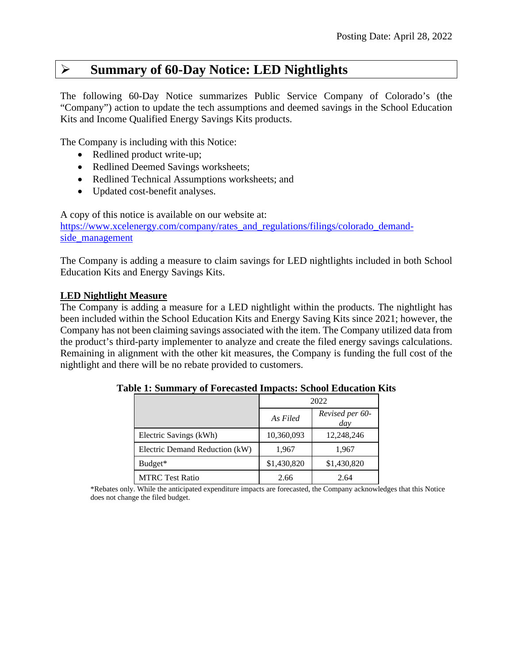# **Summary of 60-Day Notice: LED Nightlights**

The following 60-Day Notice summarizes Public Service Company of Colorado's (the "Company") action to update the tech assumptions and deemed savings in the School Education Kits and Income Qualified Energy Savings Kits products.

The Company is including with this Notice:

- Redlined product write-up;
- Redlined Deemed Savings worksheets;
- Redlined Technical Assumptions worksheets; and
- Updated cost-benefit analyses.

A copy of this notice is available on our website at: [https://www.xcelenergy.com/company/rates\\_and\\_regulations/filings/colorado\\_demand](https://www.xcelenergy.com/company/rates_and_regulations/filings/colorado_demand-side_management)[side\\_management](https://www.xcelenergy.com/company/rates_and_regulations/filings/colorado_demand-side_management)

The Company is adding a measure to claim savings for LED nightlights included in both School Education Kits and Energy Savings Kits.

## **LED Nightlight Measure**

The Company is adding a measure for a LED nightlight within the products. The nightlight has been included within the School Education Kits and Energy Saving Kits since 2021; however, the Company has not been claiming savings associated with the item. The Company utilized data from the product's third-party implementer to analyze and create the filed energy savings calculations. Remaining in alignment with the other kit measures, the Company is funding the full cost of the nightlight and there will be no rebate provided to customers.

|                                | 2022        |                        |  |
|--------------------------------|-------------|------------------------|--|
|                                | As Filed    | Revised per 60-<br>day |  |
| Electric Savings (kWh)         | 10,360,093  | 12,248,246             |  |
| Electric Demand Reduction (kW) | 1,967       | 1,967                  |  |
| Budget*                        | \$1,430,820 | \$1,430,820            |  |
| <b>MTRC Test Ratio</b>         | 2.66        | 2.64                   |  |

**Table 1: Summary of Forecasted Impacts: School Education Kits**

\*Rebates only. While the anticipated expenditure impacts are forecasted, the Company acknowledges that this Notice does not change the filed budget.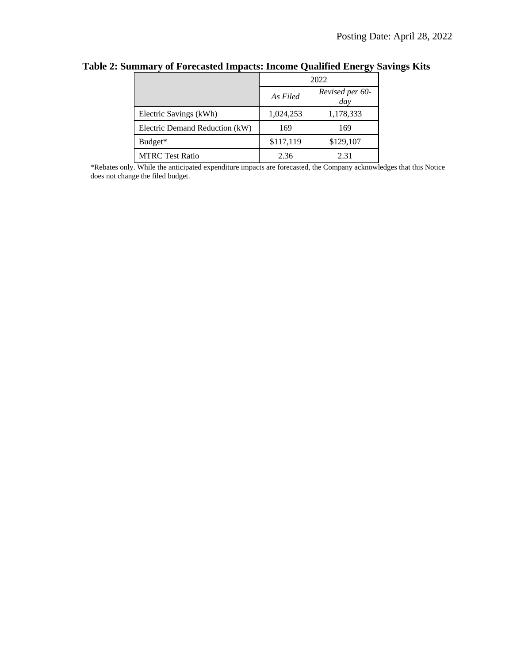|                                | 2022      |                        |  |
|--------------------------------|-----------|------------------------|--|
|                                | As Filed  | Revised per 60-<br>day |  |
| Electric Savings (kWh)         | 1,024,253 | 1,178,333              |  |
| Electric Demand Reduction (kW) | 169       | 169                    |  |
| Budget*                        | \$117,119 | \$129,107              |  |
| <b>MTRC Test Ratio</b>         | 2.36      | 2.31                   |  |

**Table 2: Summary of Forecasted Impacts: Income Qualified Energy Savings Kits**

\*Rebates only. While the anticipated expenditure impacts are forecasted, the Company acknowledges that this Notice does not change the filed budget.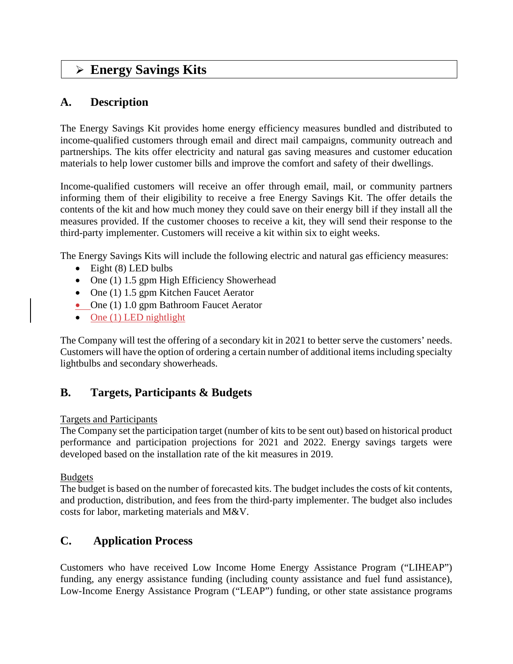# **Energy Savings Kits**

# **A. Description**

The Energy Savings Kit provides home energy efficiency measures bundled and distributed to income-qualified customers through email and direct mail campaigns, community outreach and partnerships. The kits offer electricity and natural gas saving measures and customer education materials to help lower customer bills and improve the comfort and safety of their dwellings.

Income-qualified customers will receive an offer through email, mail, or community partners informing them of their eligibility to receive a free Energy Savings Kit. The offer details the contents of the kit and how much money they could save on their energy bill if they install all the measures provided. If the customer chooses to receive a kit, they will send their response to the third-party implementer. Customers will receive a kit within six to eight weeks.

The Energy Savings Kits will include the following electric and natural gas efficiency measures:

- Eight (8) LED bulbs
- One (1) 1.5 gpm High Efficiency Showerhead
- One (1) 1.5 gpm Kitchen Faucet Aerator
- One (1) 1.0 gpm Bathroom Faucet Aerator
- One  $(1)$  LED nightlight

The Company will test the offering of a secondary kit in 2021 to better serve the customers' needs. Customers will have the option of ordering a certain number of additional items including specialty lightbulbs and secondary showerheads.

# **B. Targets, Participants & Budgets**

## Targets and Participants

The Company set the participation target (number of kits to be sent out) based on historical product performance and participation projections for 2021 and 2022. Energy savings targets were developed based on the installation rate of the kit measures in 2019.

## Budgets

The budget is based on the number of forecasted kits. The budget includes the costs of kit contents, and production, distribution, and fees from the third-party implementer. The budget also includes costs for labor, marketing materials and M&V.

# **C. Application Process**

Customers who have received Low Income Home Energy Assistance Program ("LIHEAP") funding, any energy assistance funding (including county assistance and fuel fund assistance), Low-Income Energy Assistance Program ("LEAP") funding, or other state assistance programs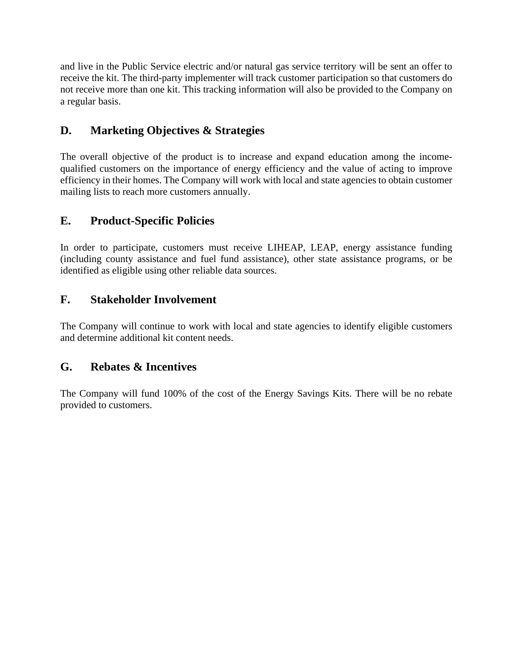and live in the Public Service electric and/or natural gas service territory will be sent an offer to receive the kit. The third-party implementer will track customer participation so that customers do not receive more than one kit. This tracking information will also be provided to the Company on a regular basis.

# **D. Marketing Objectives & Strategies**

The overall objective of the product is to increase and expand education among the incomequalified customers on the importance of energy efficiency and the value of acting to improve efficiency in their homes. The Company will work with local and state agencies to obtain customer mailing lists to reach more customers annually.

# **E. Product-Specific Policies**

In order to participate, customers must receive LIHEAP, LEAP, energy assistance funding (including county assistance and fuel fund assistance), other state assistance programs, or be identified as eligible using other reliable data sources.

# **F. Stakeholder Involvement**

The Company will continue to work with local and state agencies to identify eligible customers and determine additional kit content needs.

# **G. Rebates & Incentives**

The Company will fund 100% of the cost of the Energy Savings Kits. There will be no rebate provided to customers.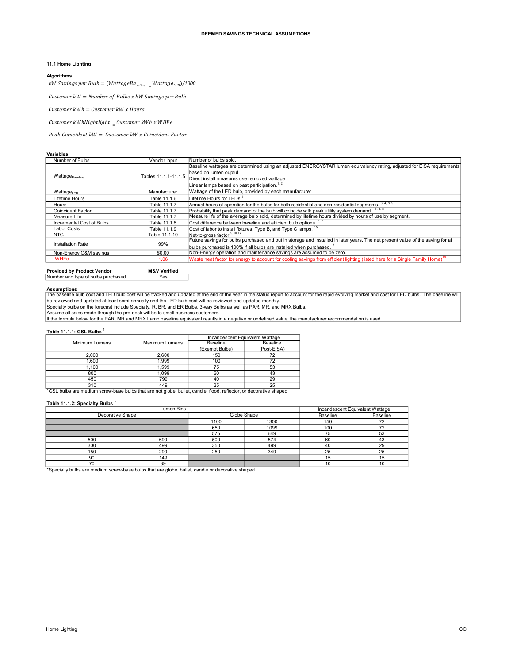## 11.1 Home Lighting

### Algorithms

 $\begin{array}{l} \textsf{DEEMED}\ \textsf{SAVINGS}\ \textsf{TECHNICAL}\ \textsf{ASSUMPTIONS} \end{array}$ <br> $\begin{array}{l} \textsf{Al Homel Lighting} \end{array}$ <br> $\begin{array}{l} \textsf{Wayorithms} \end{array}$ <br> $\begin{array}{l} \textsf{Waylorithms} \end{array} \begin{array}{l} \textsf{Waylyorithms} \end{array} \begin{array}{l} \textsf{Waylyorihms} \end{array} \begin{array}{l} \textsf{Waylyorihms} \end{array} \begin{array}{l} \textsf{Waylyorihms} \end{array} \begin{array}{$ 

### Variables

|                                                                                  |                      | <b>DEEMED SAVINGS TECHNICAL ASSUMPTIONS</b>                                                                                                  |
|----------------------------------------------------------------------------------|----------------------|----------------------------------------------------------------------------------------------------------------------------------------------|
|                                                                                  |                      |                                                                                                                                              |
|                                                                                  |                      |                                                                                                                                              |
| 11.1 Home Lighting                                                               |                      |                                                                                                                                              |
| <b>Algorithms</b>                                                                |                      |                                                                                                                                              |
| kW Savings per Bulb = (WattageBa <sub>seline</sub> Wattage <sub>LED</sub> )/1000 |                      |                                                                                                                                              |
| Customer $kW =$ Number of Bulbs x $kW$ Savings per Bulb                          |                      |                                                                                                                                              |
|                                                                                  |                      |                                                                                                                                              |
| Customer $kWh =$ Customer $kW x$ Hours                                           |                      |                                                                                                                                              |
| Customer $kWhNightlight$ $_{_{\pm}}$ Customer $kWhx$ WHFe                        |                      |                                                                                                                                              |
| Peak Coincident kW = Customer kW x Coincident Factor                             |                      |                                                                                                                                              |
|                                                                                  |                      |                                                                                                                                              |
| <b>Variables</b>                                                                 |                      |                                                                                                                                              |
| Number of Bulbs                                                                  | Vendor Input         | Number of bulbs sold.                                                                                                                        |
|                                                                                  |                      | Baseline wattages are determined using an adjusted ENERGYSTAR lumen equivalency rating, adjusted for EISA requirements                       |
| Wattage <sub>Baseline</sub>                                                      | Tables 11.1.1-11.1.5 | based on lumen ouptut.<br>Direct install measures use removed wattage.                                                                       |
|                                                                                  |                      |                                                                                                                                              |
|                                                                                  |                      | Linear lamps based on past participation. <sup>1, 2</sup><br>Wattage of the LED bulb, provided by each manufacturer.                         |
| Wattage <sub>LED</sub>                                                           | Manufacturer         |                                                                                                                                              |
| Lifetime Hours                                                                   | Table 11.1.6         | Lifetime Hours for LEDs. <sup>5</sup>                                                                                                        |
| Hours                                                                            | Table 11.1.7         | Annual hours of operation for the bulbs for both residential and non-residential segments. 3, 4, 8, 9                                        |
| Coincident Factor                                                                | Table 11.1.7         | Probability that peak demand of the bulb will coincide with peak utility system demand. 3, 4, 8                                              |
| Measure Life                                                                     | Table 11.1.7         | Measure life of the average bulb sold, determined by lifetime hours divided by hours of use by segment.                                      |
| Incremental Cost of Bulbs                                                        | Table 11.1.8         | Cost difference between baseline and efficient bulb options. <sup>6, 1</sup><br>Cost of labor to install fixtures, Type B, and Type C lamps. |
| <b>Labor Costs</b>                                                               | Table 11.1.9         | Net-to-gross factor. <sup>9,10,17</sup>                                                                                                      |
| <b>NTG</b>                                                                       | Table 11.1.10        | Future savings for bulbs purchased and put in storage and installed in later years. The net present value of the saving for all              |
| <b>Installation Rate</b>                                                         | 99%                  | bulbs purchased is 100% if all bulbs are installed when purchased. <sup>8</sup>                                                              |
| Non-Energy O&M savings                                                           | \$0.00               | Non-Energy operation and maintenance savings are assumed to be zero.                                                                         |
| <b>WHFe</b>                                                                      | 1.06                 | Waste heat factor for energy to account for cooling savings from efficient lighting (listed here for a Single Family Home)                   |
|                                                                                  |                      |                                                                                                                                              |

## Provided by Product Vendor<br>Number and type of bulbs purchased  $\sqrt{ }$  Yes

**Assumptions**<br>The baseline bulb cost and LED bulb cost will be tracked and updated at the end of the year in the status report to account for the rapid evolving market and cost for LED bulbs. The baseline will<br>be reviewed

Specialty bulbs on the forecast include Specialty, R, BR, and ER Bulbs, 3-way Bulbs as well as PAR, MR, and MRX Bulbs.<br>Assume all sales made through the pro-desk will be to small business customers.

If the formula below for the PAR, MR and MRX Lamp baseline equivalent results in a negative or undefined value, the manufacturer recommendation is used.

## Table 11.1.1: GSL Bulbs<sup>1</sup>

|                                                                                                                   |                       |                 | Incandescent Equivalent Wattage |  |
|-------------------------------------------------------------------------------------------------------------------|-----------------------|-----------------|---------------------------------|--|
| Minimum Lumens                                                                                                    | <b>Maximum Lumens</b> | <b>Baseline</b> | <b>Baseline</b>                 |  |
|                                                                                                                   |                       | (Exempt Bulbs)  | (Post-EISA)                     |  |
| 2.000                                                                                                             | 2.600                 | 150             |                                 |  |
| 1.600                                                                                                             | 1.999                 | 100             | 72                              |  |
| 1.100                                                                                                             | 1.599                 | 75              | 53                              |  |
| 800                                                                                                               | 1.099                 | 60              | 43                              |  |
| 450                                                                                                               | 799                   | 40              | 29                              |  |
| 310                                                                                                               | 449                   | 25              | 25                              |  |
| *GSL bulbs are medium screw-base bulbs that are not globe, bullet, candle, flood, reflector, or decorative shaped |                       |                 |                                 |  |

### Table 11.1.2: Specialty Bulbs<sup>1</sup>

| Lumen Bins                                                                                       |     |      |             | Incandescent Equivalent Wattage |          |
|--------------------------------------------------------------------------------------------------|-----|------|-------------|---------------------------------|----------|
| Decorative Shape                                                                                 |     |      | Globe Shape | Baseline                        | Baseline |
|                                                                                                  |     | 1100 | 1300        | 150                             |          |
|                                                                                                  |     | 650  | 1099        | 100                             |          |
|                                                                                                  |     | 575  | 649         | 75                              | 53       |
| 500                                                                                              | 699 | 500  | 574         | 60                              | 43       |
| 300                                                                                              | 499 | 350  | 499         | 40                              | 29       |
| 150                                                                                              | 299 | 250  | 349         | 25                              | 25       |
| 90                                                                                               | 149 |      |             | 15                              | 15       |
| 70                                                                                               | 89  |      |             | 10                              | 10       |
| *Specialty bulbs are medium screw-base bulbs that are globe, bullet, candle or decorative shaped |     |      |             |                                 |          |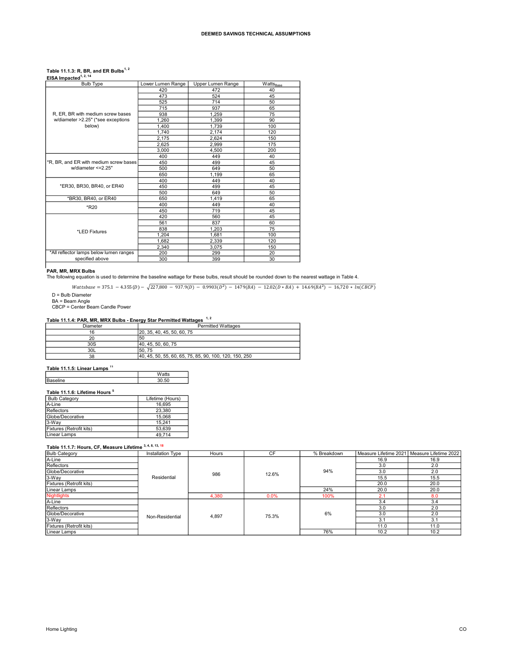## Table 11.1.3: R, BR, and ER Bulbs $^{1, 2}$

| EISA Impacted <sup>1, 2, 14</sup>                                                                                                                                                                                                                                                                                                                       |                            |                           |                       |
|---------------------------------------------------------------------------------------------------------------------------------------------------------------------------------------------------------------------------------------------------------------------------------------------------------------------------------------------------------|----------------------------|---------------------------|-----------------------|
| <b>Bulb Type</b>                                                                                                                                                                                                                                                                                                                                        | Lower Lumen Range          | Upper Lumen Range         | Watts <sub>Base</sub> |
|                                                                                                                                                                                                                                                                                                                                                         | 420                        | 472                       | 40                    |
|                                                                                                                                                                                                                                                                                                                                                         | 473                        | 524                       | 45                    |
|                                                                                                                                                                                                                                                                                                                                                         | 525                        | 714                       | 50                    |
|                                                                                                                                                                                                                                                                                                                                                         | 715                        | 937                       | 65                    |
| R, ER, BR with medium screw bases                                                                                                                                                                                                                                                                                                                       | 938                        | 1,259                     | 75                    |
| w/diameter >2.25" (*see exceptions                                                                                                                                                                                                                                                                                                                      | 1,260                      | 1,399                     | 90                    |
| below)                                                                                                                                                                                                                                                                                                                                                  | 1,400                      | 1,739                     | 100                   |
|                                                                                                                                                                                                                                                                                                                                                         | 1,740                      | 2,174                     | 120                   |
|                                                                                                                                                                                                                                                                                                                                                         | 2,175                      | 2,624                     | 150                   |
|                                                                                                                                                                                                                                                                                                                                                         | 2,625                      | 2,999                     | 175                   |
|                                                                                                                                                                                                                                                                                                                                                         | 3,000                      | 4,500                     | 200                   |
|                                                                                                                                                                                                                                                                                                                                                         | 400                        | 449                       | 40                    |
| *R, BR, and ER with medium screw bases                                                                                                                                                                                                                                                                                                                  | 450                        | 499                       | 45                    |
| w/diameter <= 2.25"                                                                                                                                                                                                                                                                                                                                     | 500                        | 649                       | 50                    |
|                                                                                                                                                                                                                                                                                                                                                         | 650                        | 1,199                     | 65                    |
|                                                                                                                                                                                                                                                                                                                                                         | 400                        | 449                       | 40                    |
| *ER30, BR30, BR40, or ER40                                                                                                                                                                                                                                                                                                                              | 450                        | 499                       | 45                    |
|                                                                                                                                                                                                                                                                                                                                                         | 500                        | 649                       | 50                    |
| *BR30, BR40, or ER40                                                                                                                                                                                                                                                                                                                                    | 650                        | 1,419                     | 65                    |
| *R20                                                                                                                                                                                                                                                                                                                                                    | 400                        | 449                       | 40                    |
|                                                                                                                                                                                                                                                                                                                                                         | 450                        | 719                       | 45                    |
|                                                                                                                                                                                                                                                                                                                                                         | 420                        | 560                       | 45                    |
|                                                                                                                                                                                                                                                                                                                                                         | 561                        | 837                       | 60                    |
| *LED Fixtures                                                                                                                                                                                                                                                                                                                                           | 838                        | 1,203                     | 75                    |
|                                                                                                                                                                                                                                                                                                                                                         | 1,204                      | 1,681                     | 100                   |
|                                                                                                                                                                                                                                                                                                                                                         | 1,682                      | 2,339                     | 120                   |
|                                                                                                                                                                                                                                                                                                                                                         | 2,340                      | 3,075                     | 150                   |
| *All reflector lamps below lumen ranges                                                                                                                                                                                                                                                                                                                 | 200                        | 299                       | 20                    |
| specified above                                                                                                                                                                                                                                                                                                                                         | 300                        | 399                       | 30                    |
| PAR, MR, MRX Bulbs<br>The following equation is used to determine the baseline wattage for these bulbs, result should be rounded down to the nearest wattage in Table 4.<br>$Wattsbase = 375.1 - 4.355(D) - \sqrt{227,800 - 937.9(D) - 0.9903(D^2) - 1479(BA) - 12.02(D*BA) + 14.69(BA^2) - 16,720 * ln(GBCP)}$<br>D = Bulb Diameter<br>BA = Beam Angle |                            |                           |                       |
| CBCP = Center Beam Candle Power                                                                                                                                                                                                                                                                                                                         |                            |                           |                       |
|                                                                                                                                                                                                                                                                                                                                                         |                            |                           |                       |
| Table 11.1.4: PAR, MR, MRX Bulbs - Energy Star Permitted Wattages 1,2                                                                                                                                                                                                                                                                                   |                            |                           |                       |
| Diameter                                                                                                                                                                                                                                                                                                                                                |                            | <b>Permitted Wattages</b> |                       |
| 16                                                                                                                                                                                                                                                                                                                                                      | 20, 35, 40, 45, 50, 60, 75 |                           |                       |
| $\overline{20}$                                                                                                                                                                                                                                                                                                                                         | 50                         |                           |                       |
| 30S                                                                                                                                                                                                                                                                                                                                                     | 40, 45, 50, 60, 75         |                           |                       |
| $\sim$                                                                                                                                                                                                                                                                                                                                                  |                            |                           |                       |

### **PAR, MR, MRX Bulbs**

## Table 11.1.4: PAR, MR, MRX Bulbs - Energy Star Permitted Wattages <sup>1,2</sup><br>Diameter **Diameter**

| Diameter | <b>Permitted Wattages</b>                              |
|----------|--------------------------------------------------------|
| 16       | 20, 35, 40, 45, 50, 60, 75                             |
| 20       | 50                                                     |
| 30S      | 40, 45, 50, 60, 75                                     |
| 30L      | 150.75                                                 |
| 38       | 40, 45, 50, 55, 60, 65, 75, 85, 90, 100, 120, 150, 250 |

## Table 11.1.5: Linear Lamps<sup>11</sup>

|                                  | .<br>دن        |
|----------------------------------|----------------|
| $\ddot{\phantom{0}}$<br>Baseline | F <sub>0</sub> |
|                                  |                |

## Table 11.1.6: Lifetime Hours<sup>5</sup>

| <b>Bulb Category</b>     | Lifetime (Hours) |
|--------------------------|------------------|
| A-Line                   | 16.695           |
| Reflectors               | 23.380           |
| Globe/Decorative         | 15.068           |
| 3-Wav                    | 15.241           |
| Fixtures (Retrofit kits) | 53.639           |
| Linear Lamps             | 49.714           |

## Table 11.1.7: Hours, CF, Measure Lifetime 3, 4, 8, 13, 18

| <b>Bulb Category</b>     | Installation Type | Hours | <b>CF</b> | % Breakdown |      | Measure Lifetime 2021   Measure Lifetime 2022 |
|--------------------------|-------------------|-------|-----------|-------------|------|-----------------------------------------------|
| A-Line                   |                   | 986   | 12.6%     | 94%         | 16.9 | 16.9                                          |
| Reflectors               |                   |       |           |             | 3.0  | 2.0                                           |
| Globe/Decorative         |                   |       |           |             | 3.0  | 2.0                                           |
| 3-Way                    | Residential       |       |           |             | 15.5 | 15.5                                          |
| Fixtures (Retrofit kits) | 4,380             |       |           | 20.0        | 20.0 |                                               |
| Linear Lamps             |                   |       |           | 24%         | 20.0 | 20.0                                          |
| <b>Nightlights</b>       |                   |       | 0.0%      | 100%        | 2.1  | 8.0                                           |
| A-Line                   |                   |       |           |             | 3.4  | 3.4                                           |
| Reflectors               | Non-Residential   | 4,897 | 75.3%     | 6%          | 3.0  | 2.0                                           |
| Globe/Decorative         |                   |       |           |             | 3.0  | 2.0                                           |
| $3-Way$                  |                   |       |           |             | 3.1  | 3.1                                           |
| Fixtures (Retrofit kits) |                   |       |           |             | 11.0 | 11.0                                          |
| Linear Lamps             |                   |       |           | 76%         | 10.2 | 10.2                                          |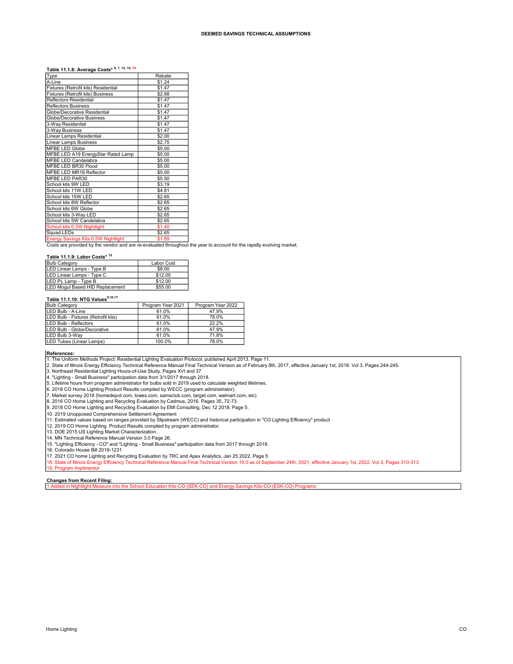## Table 11.1.8: Average Costs\* 6, 7, 12, 15, 19

| Type                                 | Rebate |
|--------------------------------------|--------|
| A-Line                               | \$1.24 |
| Fixtures (Retrofit kits) Residential | \$1.47 |
| Fixtures (Retrofit kits) Business    | \$2.88 |
| Reflectors Residential               | \$1.47 |
| <b>Reflectors Business</b>           | \$1.47 |
| Globe/Decorative Residential         | \$1.47 |
| Globe/Decorative Business            | \$1.47 |
| 3-Way Residential                    | \$1.47 |
| 3-Way Business                       | \$1.47 |
| Linear Lamps Residential             | \$2.00 |
| Linear Lamps Business                | \$2.75 |
| <b>MFBE LED Globe</b>                | \$5.00 |
| MFBE LED A19 EnergyStar Rated Lamp   | \$5.00 |
| <b>MFBE LED Candelabra</b>           | \$5.00 |
| MFBE LED BR30 Flood                  | \$5.00 |
| MFBE LED MR16 Reflector              | \$5.00 |
| MFBE LED PAR30                       | \$5.50 |
| School kits 9W LED                   | \$3.19 |
| School kits 11W LED                  | \$4.81 |
| School kits 15W LED                  | \$2.65 |
| School kits 8W Reflector             | \$2.65 |
| School kits 6W Globe                 | \$2.65 |
| School kits 3-Way LED                | \$2.65 |
| School kits 5W Candelabra            | \$2.65 |
| School kits 0.3W Nightlight          | \$1.40 |
| Squad LEDs                           | \$2.65 |

Energy Savings Kits 0.5W Nightlight \$1.89 Costs are provided by the vendor and are re-evaluated throughout the year to account for the rapidly evolving market.

### Table 11.1.9: Labor Costs\* <sup>15</sup>

| <b>Bulb Category</b>            | Labor Cost |
|---------------------------------|------------|
| LED Linear Lamps - Type B       | \$8.00     |
| LED Linear Lamps - Type C       | \$12.00    |
| LED PL Lamp - Type B            | \$12.00    |
| LED Mogul Based HID Replacement | \$55.00    |

### Table 11.1.10: NTG Values<sup>9,10,17</sup>

| <b>Bulb Category</b>                | Program Year 2021 | Program Year 2022 |
|-------------------------------------|-------------------|-------------------|
| ILED Bulb - A-Line                  | 61.0%             | 47.9%             |
| LED Bulb - Fixtures (Retrofit kits) | 61.0%             | 78.0%             |
| <b>ILED Bulb - Reflectors</b>       | 61.0%             | 22.2%             |
| ILED Bulb - Globe/Decorative        | 61.0%             | 47.9%             |
| LED Bulb 3-Way                      | 61.0%             | 71.8%             |
| LED Tubes (Linear Lamps)            | 100.0%            | 78.0%             |

References: 1. The Uniform Methods Project: Residential Lighting Evaluation Protocol, published April 2013. Page 11.

2. State of Illinois Energy Efficiency Technical Reference Manual Final Technical Version as of February 8th, 2017, effective January 1st, 2018. Vol 3, Pages 244-245.

3. Northeast Residential Lighting Hours-of-Use Study, Pages XVI and 37

4. "Lighting - Small Business" participation data from 3/1/2017 through 2018. 5. Lifetime hours from program administrator for bulbs sold in 2019 used to calculate weighted lifetimes.

6. 2018 CO Home Lighting Product Results compiled by WECC (program administrator).

7. Market survey 2018 (homedepot.com, lowes.com, samsclub.com, target.com, walmart.com, etc)<br>8. 2016 CO Home Lighting and Recycling Evaluation by Cadmus, 2016. Pages 35, 72-73.

9. 2018 CO Home Lighting and Recycling Evaluation by EMI Consulting, Dec 12 2018. Page 5.

10. 2019 Unopposed Comprehensive Settlement Agreement

11. Estimated values based on ranges provided by Slipstream (WECC) and historical participation in "CO Lighting Efficiency" product 12. 2019 CO Home Lighting Product Results complied by program administrator.

13. DOE 2015 US Lighting Market Characterization.

14. MN Technical Reference Manual Version 3.0 Page 26.

15. "Lighting Efficiency - CO" and "Lighting - Small Business" participation data from 2017 through 2019. 16. Colorado House Bill 2019-1231

17. 2021 CO home Lighting and Recycling Evaluation by TRC and Apex Analytics, Jan 25 2022. Page 5

18. State of Illinois Energy Efficiency Technical Reference Manual Final Technical Version 10.0 as of September 24th, 2021, effective January 1st, 2022. Vol 3, Pages 310-313.

## Changes from Recent Filing:

19. Program Implimento

ol Education Kits-CO (SEK-CO) and Energy Savings Kits-CO (ESK-CO) Prog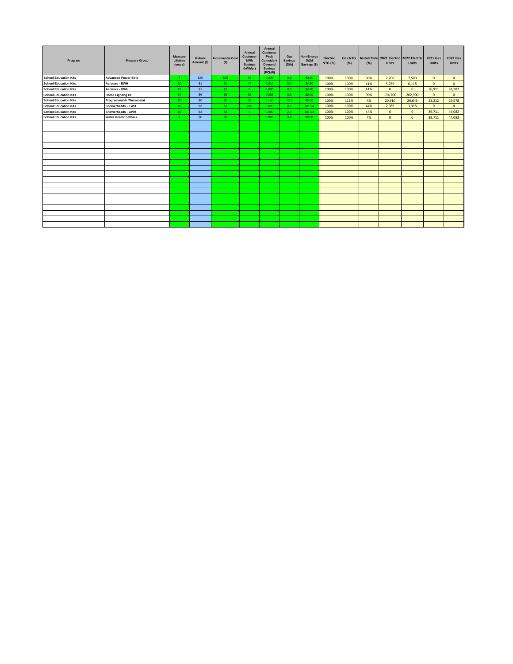| Program                      | <b>Measure Group</b>           | <b>Measure</b><br>Lifetime<br>(years) | Rebate<br>Amount (\$) | <b>Incremental Cost</b><br>(S) | Annual<br>Customer<br>kWh<br>Savings<br>(kWh/yr) | Annual<br><b>Customer</b><br>Peak<br>Coincident<br>Demand<br><b>Savings</b><br>(PCkW) | Gas<br><b>Savings</b><br>(Dth) | Non-Energy<br>O&M<br>Savings (\$) | Electric<br><b>NTG (%)</b> | <b>Gas NTG</b><br>(%) | (% ) | Install Rate 2021 Electric 2022 Electric<br><b>Units</b> | <b>Units</b> | <b>2021 Gas</b><br>Units | <b>2022 Gas</b><br><b>Units</b> |
|------------------------------|--------------------------------|---------------------------------------|-----------------------|--------------------------------|--------------------------------------------------|---------------------------------------------------------------------------------------|--------------------------------|-----------------------------------|----------------------------|-----------------------|------|----------------------------------------------------------|--------------|--------------------------|---------------------------------|
| <b>School Education Kits</b> | <b>Advanced Power Strip</b>    | $\overline{7}$                        | \$25                  | \$25                           | 68                                               | 0.009                                                                                 | 0.0 <sub>1</sub>               | \$0.00                            | 100%                       | 100%                  | 90%  | 2.700                                                    | 7,500        | $\mathbf{0}$             | $\mathbf{0}$                    |
| <b>School Education Kits</b> | Aerators - EWH                 | 10 <sup>°</sup>                       | \$1                   | \$1                            | 74                                               | 0.010                                                                                 | 0.0                            | \$4.80                            | 100%                       | 100%                  | 41%  | 5,789                                                    | 6,118        | $\mathbf{0}$             | $\mathbf{0}$                    |
| <b>School Education Kits</b> | Aerators - GWH                 | 10 <sub>1</sub>                       | \$1                   | \$1                            | $\overline{0}$                                   | 0.000                                                                                 | 0.3                            | \$4.80                            | 100%                       | 100%                  | 41%  | $\mathbf{0}$                                             | $\mathbf{0}$ | 76,911                   | 81,282                          |
| <b>School Education Kits</b> | <b>Home Lighting DI</b>        | 14                                    | \$6                   | \$6                            | 53                                               | 0.008                                                                                 | 0.0                            | \$0.00                            | 100%                       | 100%                  | 90%  | 134,700                                                  | 202,900      | $\mathbf{0}$             | $\mathbf{0}$                    |
| <b>School Education Kits</b> | <b>Programmable Thermostat</b> | 10 <sup>1</sup>                       | SO <sub>2</sub>       | SO.                            | 98                                               | 0.140                                                                                 | 12.1                           | \$0.00                            | 100%                       | 111%                  | 4%   | 20,910                                                   | 26,645       | 23,212                   | 29,578                          |
| <b>School Education Kits</b> | Showerheads - EWH              | 10 <sub>1</sub>                       | \$3                   | \$3                            | 476                                              | 0.035                                                                                 | 0.0                            | \$31.94                           | 100%                       | 100%                  | 44%  | 2.989                                                    | 3.318        | $\mathbf{0}$             | $\mathbf{0}$                    |
| <b>School Education Kits</b> | Showerheads - GWH              | 10 <sup>1</sup>                       | \$3                   | \$3                            | $0 -$                                            | 0.000                                                                                 | 2.0                            | \$31.94                           | 100%                       | 100%                  | 44%  | $\mathbf{0}$                                             | $\mathbf{0}$ | 39,711                   | 44,082                          |
| <b>School Education Kits</b> | <b>Water Heater Setback</b>    | 8                                     | SO <sub>2</sub>       | SO.                            | $\mathbf{0}$                                     | 0.000                                                                                 | 0.4                            | \$0.00                            | 100%                       | 100%                  | 4%   | $\mathbf{0}$                                             | $\mathbf{0}$ | 39,711                   | 44,082                          |
|                              |                                |                                       |                       |                                |                                                  |                                                                                       |                                |                                   |                            |                       |      |                                                          |              |                          |                                 |
|                              |                                |                                       |                       |                                |                                                  |                                                                                       |                                |                                   |                            |                       |      |                                                          |              |                          |                                 |
|                              |                                |                                       |                       |                                |                                                  |                                                                                       |                                |                                   |                            |                       |      |                                                          |              |                          |                                 |
|                              |                                |                                       |                       |                                |                                                  |                                                                                       |                                |                                   |                            |                       |      |                                                          |              |                          |                                 |
|                              |                                |                                       |                       |                                |                                                  |                                                                                       |                                |                                   |                            |                       |      |                                                          |              |                          |                                 |
|                              |                                |                                       |                       |                                |                                                  |                                                                                       |                                |                                   |                            |                       |      |                                                          |              |                          |                                 |
|                              |                                |                                       |                       |                                |                                                  |                                                                                       |                                |                                   |                            |                       |      |                                                          |              |                          |                                 |
|                              |                                |                                       |                       |                                |                                                  |                                                                                       |                                |                                   |                            |                       |      |                                                          |              |                          |                                 |
|                              |                                |                                       |                       |                                |                                                  |                                                                                       |                                |                                   |                            |                       |      |                                                          |              |                          |                                 |
|                              |                                |                                       |                       |                                |                                                  |                                                                                       |                                |                                   |                            |                       |      |                                                          |              |                          |                                 |
|                              |                                |                                       |                       |                                |                                                  |                                                                                       |                                |                                   |                            |                       |      |                                                          |              |                          |                                 |
|                              |                                |                                       |                       |                                |                                                  |                                                                                       |                                |                                   |                            |                       |      |                                                          |              |                          |                                 |
|                              |                                |                                       |                       |                                |                                                  |                                                                                       |                                |                                   |                            |                       |      |                                                          |              |                          |                                 |
|                              |                                |                                       |                       |                                |                                                  |                                                                                       |                                |                                   |                            |                       |      |                                                          |              |                          |                                 |
|                              |                                |                                       |                       |                                |                                                  |                                                                                       |                                |                                   |                            |                       |      |                                                          |              |                          |                                 |
|                              |                                |                                       |                       |                                |                                                  |                                                                                       |                                |                                   |                            |                       |      |                                                          |              |                          |                                 |
|                              |                                |                                       |                       |                                |                                                  |                                                                                       |                                |                                   |                            |                       |      |                                                          |              |                          |                                 |
|                              |                                |                                       |                       |                                |                                                  |                                                                                       |                                |                                   |                            |                       |      |                                                          |              |                          |                                 |
|                              |                                |                                       |                       |                                |                                                  |                                                                                       |                                |                                   |                            |                       |      |                                                          |              |                          |                                 |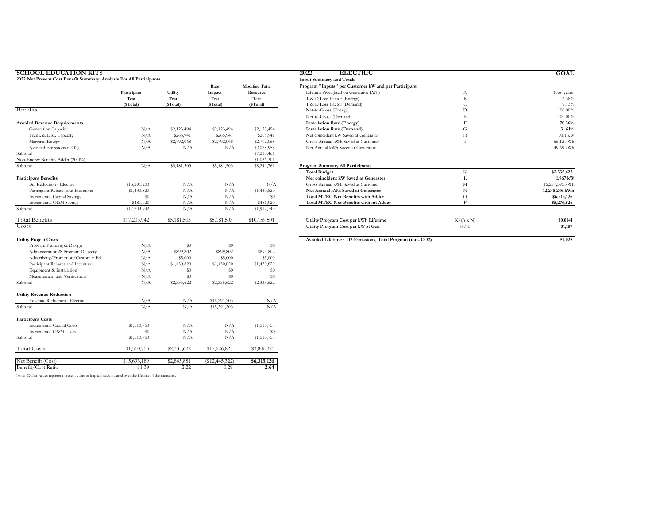| <b>SCHOOL EDUCATION KITS</b>                                        |              |             |                  |                       | 2022<br><b>ELECTRIC</b>                                  |                  | GOAL           |
|---------------------------------------------------------------------|--------------|-------------|------------------|-----------------------|----------------------------------------------------------|------------------|----------------|
| 2022 Net Present Cost Benefit Summary Analysis For All Participants |              |             |                  |                       | <b>Input Summary and Totals</b>                          |                  |                |
|                                                                     |              |             | Rate             | <b>Modified Total</b> | Program "Inputs" per Customer kW and per Participant     |                  |                |
|                                                                     | Participant  | Utility     | Impact           | Resource              | Lifetime (Weighted on Generator kWh)                     | $\Lambda$        | 13.6 years     |
|                                                                     | Test         | Test        | Test             | Test                  | T & D Loss Factor (Energy)                               | $\mathbf B$      | 6.38%          |
|                                                                     | (\$Total)    | (\$Total)   | (\$Total)        | (\$Total)             | T & D Loss Factor (Demand)                               | $\mathsf{C}$     | 9.13%          |
| <b>Benefits</b>                                                     |              |             |                  |                       | Net-to-Gross (Energy)                                    | D                | 100,00%        |
|                                                                     |              |             |                  |                       | Net-to-Gross (Demand)                                    | Е                | 100.00%        |
| <b>Avoided Revenue Requirements</b>                                 |              |             |                  |                       | <b>Installation Rate (Energy)</b>                        | $\mathbf{E}$     | 70.36%         |
| Generation Capacity                                                 | N/A          | \$2,123,494 | \$2,123,494      | \$2,123,494           | <b>Installation Rate (Demand)</b>                        | G                | 31.61%         |
| Trans. & Dist. Capacity                                             | N/A          | \$265,941   | \$265,941        | \$265,941             | Net coincident kW Saved at Generator                     | $\mathbf H$      | $0.01$ kW      |
| Marginal Energy                                                     | N/A          | \$2,792,068 | \$2,792,068      | \$2,792,068           | Gross Annual kWh Saved at Customer                       | I                | 66.12 kWh      |
| Avoided Emissions (CO2)                                             | N/A          | N/A         | N/A              | \$2,028,958           | Net Annual kWh Saved at Generator                        |                  | 49.69 kWh      |
| Subtotal                                                            |              |             |                  | \$7,210,461           |                                                          |                  |                |
| Non-Energy Benefits Adder (20.0%)                                   |              |             |                  | \$1,036,301           |                                                          |                  |                |
| Subtotal                                                            | N/A          | \$5,181,503 | \$5,181,503      | \$8,246,761           | Program Summary All Participants                         |                  |                |
|                                                                     |              |             |                  |                       | <b>Total Budget</b>                                      | $_{\rm K}$       | \$2,335,622    |
| <b>Participant Benefits</b>                                         |              |             |                  |                       | Net coincident kW Saved at Generator                     | L                | 1,967 kW       |
| <b>Bill Reduction - Electric</b>                                    | \$15,291,203 | N/A         | N/A              | N/A                   | Gross Annual kWh Saved at Customer                       | $\mathbf M$      | 16,297,395 kWh |
| Participant Rebates and Incentives                                  | \$1,430,820  | N/A         | N/A              | \$1,430,820           | Net Annual kWh Saved at Generator                        | N                | 12,248,246 kWh |
| <b>Incremental Capital Savings</b>                                  | \$0          | N/A         | N/A              | \$0                   | <b>Total MTRC Net Benefits with Adder</b>                | $\circ$          | \$6,313,126    |
| Incremental O&M Savings                                             | \$481,920    | N/A         | N/A              | \$481,920             | <b>Total MTRC Net Benefits without Adder</b>             | P                | \$5,276,826    |
| Subtotal                                                            | \$17,203,942 | N/A         | N/A              | \$1,912,740           |                                                          |                  |                |
| <b>Total Benefits</b>                                               | \$17,203,942 | \$5,181,503 | \$5,181,503      | \$10,159,501          | Utility Program Cost per kWh Lifetime                    | $K/(A \times N)$ | \$0.0141       |
| <b>Costs</b>                                                        |              |             |                  |                       | Utility Program Cost per kW at Gen                       | K/L              | \$1,187        |
| <b>Utility Project Costs</b>                                        |              |             |                  |                       | Avoided Lifetime CO2 Emissions, Total Program (tons CO2) |                  | 51,025         |
| Program Planning & Design                                           | N/A          | \$0         | \$0              | \$0                   |                                                          |                  |                |
| Administration & Program Delivery                                   | N/A          | \$899,802   | \$899,802        | \$899,802             |                                                          |                  |                |
| Advertising/Promotion/Customer Ed                                   | N/A          | \$5,000     | \$5,000          | \$5,000               |                                                          |                  |                |
| Participant Rebates and Incentives                                  | N/A          | \$1,430,820 | \$1,430,820      | \$1,430,820           |                                                          |                  |                |
| Equipment & Installation                                            | N/A          | \$0         | \$0              | \$0                   |                                                          |                  |                |
| Measurement and Verification                                        | N/A          | \$0         | \$0              | \$0                   |                                                          |                  |                |
| Subtotal                                                            | N/A          | \$2,335,622 | \$2,335,622      | \$2,335,622           |                                                          |                  |                |
| <b>Utility Revenue Reduction</b>                                    |              |             |                  |                       |                                                          |                  |                |
| Revenue Reduction - Electric                                        | N/A          | N/A         | \$15,291,203     | N/A                   |                                                          |                  |                |
| Subtotal                                                            | N/A          | N/A         | \$15,291,203     | N/A                   |                                                          |                  |                |
| <b>Participant Costs</b>                                            |              |             |                  |                       |                                                          |                  |                |
| <b>Incremental Capital Costs</b>                                    | \$1,510,753  | N/A         | N/A              | \$1,510,753           |                                                          |                  |                |
| Incremental O&M Costs                                               | \$0          | N/A         | N/A              | \$0                   |                                                          |                  |                |
| Subtotal                                                            | \$1,510,753  | N/A         | N/A              | \$1,510,753           |                                                          |                  |                |
| <b>Total Costs</b>                                                  | \$1,510,753  | \$2,335,622 | \$17,626,825     | \$3,846,375           |                                                          |                  |                |
| Net Benefit (Cost)                                                  | \$15,693,189 | \$2,845,881 | $(\$12,445,322)$ | \$6,313,126           |                                                          |                  |                |
| Benefit/Cost Ratio                                                  | 11.39        | 2.22        | 0.29             | 2.64                  |                                                          |                  |                |
|                                                                     |              |             |                  |                       |                                                          |                  |                |

|  |  |  | Note: Dollar values represent present value of impacts accumulated over the lifetime of the measures. |  |
|--|--|--|-------------------------------------------------------------------------------------------------------|--|
|  |  |  |                                                                                                       |  |

| гог all participants |             |             |                       | Input Summary and Totals                                 |                  |                |
|----------------------|-------------|-------------|-----------------------|----------------------------------------------------------|------------------|----------------|
|                      |             | Rate        | <b>Modified Total</b> | Program "Inputs" per Customer kW and per Participant     |                  |                |
| Participant          | Utility     | Impact      | Resource              | Lifetime (Weighted on Generator kWh)                     | A                | 13.6 years     |
| Test                 | Test        | Test        | Test                  | T & D Loss Factor (Energy)                               |                  | 6.38%          |
| (\$Total)            | (\$Total)   | (\$Total)   | (\$Total)             | T & D Loss Factor (Demand)                               | C                | 9.13%          |
|                      |             |             |                       | Net-to-Gross (Energy)                                    | D                | 100,00%        |
|                      |             |             |                       | Net-to-Gross (Demand)                                    |                  | 100,00%        |
|                      |             |             |                       | <b>Installation Rate (Energy)</b>                        |                  | 70.36%         |
| N/A                  | \$2,123,494 | \$2,123,494 | \$2,123,494           | <b>Installation Rate (Demand)</b>                        | G                | 31.61%         |
| N/A                  | \$265,941   | \$265,941   | \$265,941             | Net coincident kW Saved at Generator                     | Н                | $0.01$ kW      |
| N/A                  | \$2,792,068 | \$2,792,068 | \$2,792,068           | Gross Annual kWh Saved at Customer                       |                  | 66.12 kWh      |
| N/A                  | N/A         | N/A         | \$2,028,958           | Net Annual kWh Saved at Generator                        |                  | 49.69 kWh      |
|                      |             |             | \$7,210,461           |                                                          |                  |                |
|                      |             |             | \$1,036,301           |                                                          |                  |                |
| N/A                  | \$5,181,503 | \$5,181,503 | \$8,246,761           | Program Summary All Participants                         |                  |                |
|                      |             |             |                       | <b>Total Budget</b>                                      | K                | \$2,335,622    |
|                      |             |             |                       | Net coincident kW Saved at Generator                     |                  | 1,967 kW       |
| \$15,291,203         | N/A         | N/A         | N/A                   | Gross Annual kWh Saved at Customer                       | M                | 16,297,395 kWh |
| \$1,430,820          | N/A         | N/A         | \$1,430,820           | Net Annual kWh Saved at Generator                        | N                | 12,248,246 kWh |
| SO.                  | N/A         | N/A         | \$0                   | <b>Total MTRC Net Benefits with Adder</b>                | $\circ$          | \$6,313,126    |
| \$481,920            | N/A         | N/A         | \$481,920             | <b>Total MTRC Net Benefits without Adder</b>             | n                | \$5,276,826    |
| \$17,203,942         | N/A         | N/A         | \$1,912,740           |                                                          |                  |                |
| \$17,203,942         | \$5,181,503 | \$5,181,503 | \$10,159,501          | Utility Program Cost per kWh Lifetime                    | $K/(A \times N)$ | \$0.0141       |
|                      |             |             |                       | Utility Program Cost per kW at Gen                       | K/L              | \$1,187        |
|                      |             |             |                       | Avoided Lifetime CO2 Emissions, Total Program (tons CO2) |                  | 51,025         |
|                      |             |             |                       |                                                          |                  |                |

**GOAL**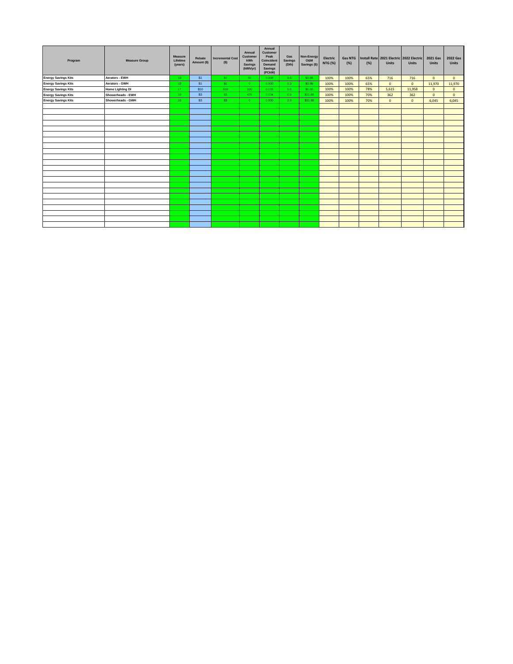| Program                    | <b>Measure Group</b>    | Measure<br>Lifetime<br>(years) | Rebate<br>Amount (\$) | <b>Incremental Cost</b><br>(S) | Annual<br>Customer<br>kWh<br><b>Savings</b><br>(kWh/yr) | Annual<br>Customer<br>Peak<br>Coincident<br>Demand<br><b>Savings</b><br>(PCkW) | Gas<br>Savings<br>(Dth) | Non-Energy<br>O&M<br>Savings (\$) | Electric<br><b>NTG (%)</b> | <b>Gas NTG</b><br>(%) | (%) | <b>Units</b> | Install Rate 2021 Electric 2022 Electric<br><b>Units</b> | 2021 Gas<br>Units | <b>2022 Gas</b><br>Units |
|----------------------------|-------------------------|--------------------------------|-----------------------|--------------------------------|---------------------------------------------------------|--------------------------------------------------------------------------------|-------------------------|-----------------------------------|----------------------------|-----------------------|-----|--------------|----------------------------------------------------------|-------------------|--------------------------|
| <b>Energy Savings Kits</b> | Aerators - EWH          | 10 <sup>°</sup>                | \$1                   | \$1                            | 60                                                      | 0.008                                                                          | 0.0                     | \$3.86                            | 100%                       | 100%                  | 65% | 716          | 716                                                      | $\overline{0}$    | $\overline{0}$           |
| <b>Energy Savings Kits</b> | Aerators - GWH          | 10 <sup>°</sup>                | S1                    | \$1                            | $\overline{0}$                                          | 0.000                                                                          | 0.3                     | \$3.86                            | 100%                       | 100%                  | 65% | $\mathbf{0}$ | $\mathbf{0}$                                             | 11,970            | 11,970                   |
| <b>Energy Savings Kits</b> | <b>Home Lighting DI</b> | 17                             | \$10                  | \$10                           | 100                                                     | 0.015                                                                          | 0.0                     | \$0.00                            | 100%                       | 100%                  | 78% | 5,615        | 11,958                                                   | $\mathbf{0}$      | $\mathbf{0}$             |
| <b>Energy Savings Kits</b> | Showerheads - EWH       | 10 <sup>°</sup>                | \$3                   | \$3                            | 475                                                     | 0.034                                                                          | 0.0                     | \$31.88                           | 100%                       | 100%                  | 70% | 362          | 362                                                      | $\overline{0}$    | $\mathbf{0}$             |
| <b>Energy Savings Kits</b> | Showerheads - GWH       | 10                             | \$3                   | \$3                            | $\overline{0}$                                          | 0.000                                                                          | 2.0                     | \$31.88                           | 100%                       | 100%                  | 70% | $\mathbf{0}$ | $\mathbf{0}$                                             | 6,045             | 6,045                    |
|                            |                         |                                |                       |                                |                                                         |                                                                                |                         |                                   |                            |                       |     |              |                                                          |                   |                          |
|                            |                         |                                |                       |                                |                                                         |                                                                                |                         |                                   |                            |                       |     |              |                                                          |                   |                          |
|                            |                         |                                |                       |                                |                                                         |                                                                                |                         |                                   |                            |                       |     |              |                                                          |                   |                          |
|                            |                         |                                |                       |                                |                                                         |                                                                                |                         |                                   |                            |                       |     |              |                                                          |                   |                          |
|                            |                         |                                |                       |                                |                                                         |                                                                                |                         |                                   |                            |                       |     |              |                                                          |                   |                          |
|                            |                         |                                |                       |                                |                                                         |                                                                                |                         |                                   |                            |                       |     |              |                                                          |                   |                          |
|                            |                         |                                |                       |                                |                                                         |                                                                                |                         |                                   |                            |                       |     |              |                                                          |                   |                          |
|                            |                         |                                |                       |                                |                                                         |                                                                                |                         |                                   |                            |                       |     |              |                                                          |                   |                          |
|                            |                         |                                |                       |                                |                                                         |                                                                                |                         |                                   |                            |                       |     |              |                                                          |                   |                          |
|                            |                         |                                |                       |                                |                                                         |                                                                                |                         |                                   |                            |                       |     |              |                                                          |                   |                          |
|                            |                         |                                |                       |                                |                                                         |                                                                                |                         |                                   |                            |                       |     |              |                                                          |                   |                          |
|                            |                         |                                |                       |                                |                                                         |                                                                                |                         |                                   |                            |                       |     |              |                                                          |                   |                          |
|                            |                         |                                |                       |                                |                                                         |                                                                                |                         |                                   |                            |                       |     |              |                                                          |                   |                          |
|                            |                         |                                |                       |                                |                                                         |                                                                                |                         |                                   |                            |                       |     |              |                                                          |                   |                          |
|                            |                         |                                |                       |                                |                                                         |                                                                                |                         |                                   |                            |                       |     |              |                                                          |                   |                          |
|                            |                         |                                |                       |                                |                                                         |                                                                                |                         |                                   |                            |                       |     |              |                                                          |                   |                          |
|                            |                         |                                |                       |                                |                                                         |                                                                                |                         |                                   |                            |                       |     |              |                                                          |                   |                          |
|                            |                         |                                |                       |                                |                                                         |                                                                                |                         |                                   |                            |                       |     |              |                                                          |                   |                          |
|                            |                         |                                |                       |                                |                                                         |                                                                                |                         |                                   |                            |                       |     |              |                                                          |                   |                          |
|                            |                         |                                |                       |                                |                                                         |                                                                                |                         |                                   |                            |                       |     |              |                                                          |                   |                          |
|                            |                         |                                |                       |                                |                                                         |                                                                                |                         |                                   |                            |                       |     |              |                                                          |                   |                          |
|                            |                         |                                |                       |                                |                                                         |                                                                                |                         |                                   |                            |                       |     |              |                                                          |                   |                          |